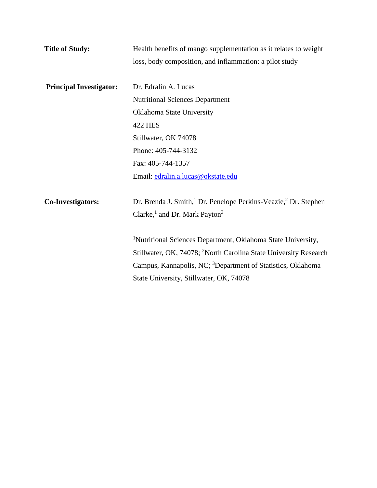| <b>Title of Study:</b>         | Health benefits of mango supplementation as it relates to weight                                                                                                                                                                                                               |  |  |  |  |  |
|--------------------------------|--------------------------------------------------------------------------------------------------------------------------------------------------------------------------------------------------------------------------------------------------------------------------------|--|--|--|--|--|
|                                | loss, body composition, and inflammation: a pilot study                                                                                                                                                                                                                        |  |  |  |  |  |
|                                |                                                                                                                                                                                                                                                                                |  |  |  |  |  |
| <b>Principal Investigator:</b> | Dr. Edralin A. Lucas                                                                                                                                                                                                                                                           |  |  |  |  |  |
|                                | <b>Nutritional Sciences Department</b>                                                                                                                                                                                                                                         |  |  |  |  |  |
|                                | Oklahoma State University                                                                                                                                                                                                                                                      |  |  |  |  |  |
|                                | <b>422 HES</b>                                                                                                                                                                                                                                                                 |  |  |  |  |  |
|                                | Stillwater, OK 74078                                                                                                                                                                                                                                                           |  |  |  |  |  |
|                                | Phone: 405-744-3132                                                                                                                                                                                                                                                            |  |  |  |  |  |
|                                | Fax: 405-744-1357                                                                                                                                                                                                                                                              |  |  |  |  |  |
|                                | Email: edralin.a.lucas@okstate.edu                                                                                                                                                                                                                                             |  |  |  |  |  |
| <b>Co-Investigators:</b>       | Dr. Brenda J. Smith, <sup>1</sup> Dr. Penelope Perkins-Veazie, <sup>2</sup> Dr. Stephen<br>Clarke, <sup>1</sup> and Dr. Mark Payton <sup>3</sup>                                                                                                                               |  |  |  |  |  |
|                                | <sup>1</sup> Nutritional Sciences Department, Oklahoma State University,<br>Stillwater, OK, 74078; <sup>2</sup> North Carolina State University Research<br>Campus, Kannapolis, NC; <sup>3</sup> Department of Statistics, Oklahoma<br>State University, Stillwater, OK, 74078 |  |  |  |  |  |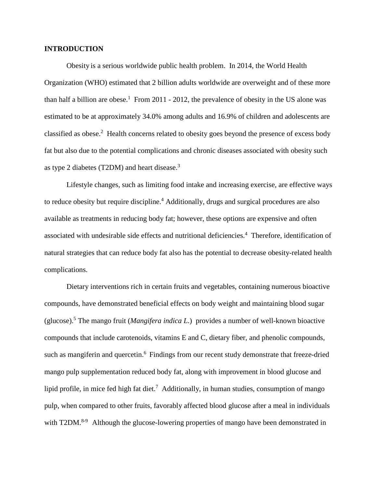## **INTRODUCTION**

Obesity is a serious worldwide public health problem. In 2014, the World Health Organization (WHO) estimated that 2 billion adults worldwide are overweight and of these more than half a billion are obese.<sup>1</sup> From 2011 - 2012, the prevalence of obesity in the US alone was estimated to be at approximately 34.0% among adults and 16.9% of children and adolescents are classified as obese.<sup>2</sup> Health concerns related to obesity goes beyond the presence of excess body fat but also due to the potential complications and chronic diseases associated with obesity such as type 2 diabetes (T2DM) and heart disease.<sup>3</sup>

Lifestyle changes, such as limiting food intake and increasing exercise, are effective ways to reduce obesity but require discipline. <sup>4</sup> Additionally, drugs and surgical procedures are also available as treatments in reducing body fat; however, these options are expensive and often associated with undesirable side effects and nutritional deficiencies. <sup>4</sup> Therefore, identification of natural strategies that can reduce body fat also has the potential to decrease obesity-related health complications.

Dietary interventions rich in certain fruits and vegetables, containing numerous bioactive compounds, have demonstrated beneficial effects on body weight and maintaining blood sugar (glucose).5 The mango fruit (*Mangifera indica L*.) provides a number of well-known bioactive compounds that include carotenoids, vitamins E and C, dietary fiber, and phenolic compounds, such as mangiferin and quercetin.<sup>6</sup> Findings from our recent study demonstrate that freeze-dried mango pulp supplementation reduced body fat, along with improvement in blood glucose and lipid profile, in mice fed high fat diet.<sup>7</sup> Additionally, in human studies, consumption of mango pulp, when compared to other fruits, favorably affected blood glucose after a meal in individuals with T2DM.<sup>8-9</sup> Although the glucose-lowering properties of mango have been demonstrated in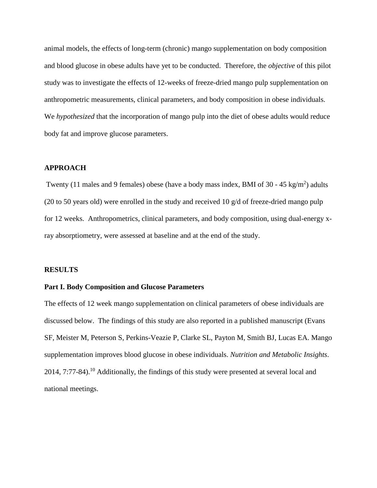animal models, the effects of long-term (chronic) mango supplementation on body composition and blood glucose in obese adults have yet to be conducted. Therefore, the *objective* of this pilot study was to investigate the effects of 12-weeks of freeze-dried mango pulp supplementation on anthropometric measurements, clinical parameters, and body composition in obese individuals. We *hypothesized* that the incorporation of mango pulp into the diet of obese adults would reduce body fat and improve glucose parameters.

# **APPROACH**

Twenty (11 males and 9 females) obese (have a body mass index, BMI of 30 - 45 kg/m<sup>2</sup>) adults (20 to 50 years old) were enrolled in the study and received 10  $g/d$  of freeze-dried mango pulp for 12 weeks. Anthropometrics, clinical parameters, and body composition, using dual-energy xray absorptiometry, were assessed at baseline and at the end of the study.

#### **RESULTS**

#### **Part I. Body Composition and Glucose Parameters**

The effects of 12 week mango supplementation on clinical parameters of obese individuals are discussed below. The findings of this study are also reported in a published manuscript (Evans SF, Meister M, Peterson S, Perkins-Veazie P, Clarke SL, Payton M, Smith BJ, Lucas EA. Mango supplementation improves blood glucose in obese individuals. *Nutrition and Metabolic Insights*.  $2014$ , 7:77-84).<sup>10</sup> Additionally, the findings of this study were presented at several local and national meetings.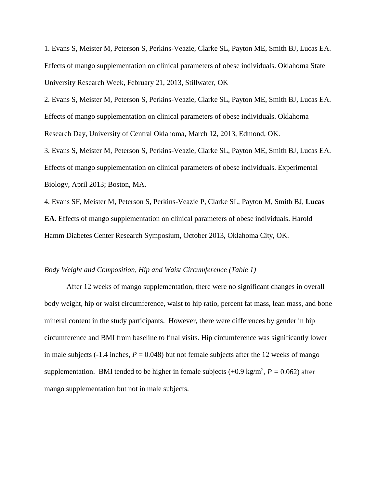1. Evans S, Meister M, Peterson S, Perkins-Veazie, Clarke SL, Payton ME, Smith BJ, Lucas EA. Effects of mango supplementation on clinical parameters of obese individuals. Oklahoma State University Research Week, February 21, 2013, Stillwater, OK

2. Evans S, Meister M, Peterson S, Perkins-Veazie, Clarke SL, Payton ME, Smith BJ, Lucas EA. Effects of mango supplementation on clinical parameters of obese individuals. Oklahoma Research Day, University of Central Oklahoma, March 12, 2013, Edmond, OK.

3. Evans S, Meister M, Peterson S, Perkins-Veazie, Clarke SL, Payton ME, Smith BJ, Lucas EA. Effects of mango supplementation on clinical parameters of obese individuals. Experimental Biology, April 2013; Boston, MA.

4. Evans SF, Meister M, Peterson S, Perkins-Veazie P, Clarke SL, Payton M, Smith BJ, **Lucas EA**. Effects of mango supplementation on clinical parameters of obese individuals. Harold Hamm Diabetes Center Research Symposium, October 2013, Oklahoma City, OK.

#### *Body Weight and Composition, Hip and Waist Circumference (Table 1)*

After 12 weeks of mango supplementation, there were no significant changes in overall body weight, hip or waist circumference, waist to hip ratio, percent fat mass, lean mass, and bone mineral content in the study participants. However, there were differences by gender in hip circumference and BMI from baseline to final visits. Hip circumference was significantly lower in male subjects  $(-1.4 \text{ inches}, P = 0.048)$  but not female subjects after the 12 weeks of mango supplementation. BMI tended to be higher in female subjects  $(+0.9 \text{ kg/m}^2, P = 0.062)$  after mango supplementation but not in male subjects.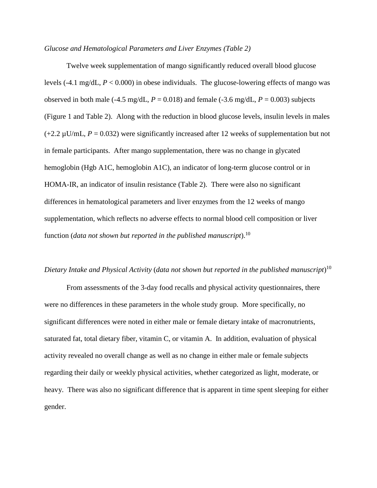#### *Glucose and Hematological Parameters and Liver Enzymes (Table 2)*

Twelve week supplementation of mango significantly reduced overall blood glucose levels (-4.1 mg/dL, *P* < 0.000) in obese individuals. The glucose-lowering effects of mango was observed in both male  $(-4.5 \text{ mg/dL}, P = 0.018)$  and female  $(-3.6 \text{ mg/dL}, P = 0.003)$  subjects (Figure 1 and Table 2). Along with the reduction in blood glucose levels, insulin levels in males  $(+2.2 \,\mu\text{U/mL}, P = 0.032)$  were significantly increased after 12 weeks of supplementation but not in female participants. After mango supplementation, there was no change in glycated hemoglobin (Hgb A1C, hemoglobin A1C), an indicator of long-term glucose control or in HOMA-IR, an indicator of insulin resistance (Table 2). There were also no significant differences in hematological parameters and liver enzymes from the 12 weeks of mango supplementation, which reflects no adverse effects to normal blood cell composition or liver function (*data not shown but reported in the published manuscript*).10

# *Dietary Intake and Physical Activity* (*data not shown but reported in the published manuscript*) 10

From assessments of the 3-day food recalls and physical activity questionnaires, there were no differences in these parameters in the whole study group. More specifically, no significant differences were noted in either male or female dietary intake of macronutrients, saturated fat, total dietary fiber, vitamin C, or vitamin A. In addition, evaluation of physical activity revealed no overall change as well as no change in either male or female subjects regarding their daily or weekly physical activities, whether categorized as light, moderate, or heavy. There was also no significant difference that is apparent in time spent sleeping for either gender.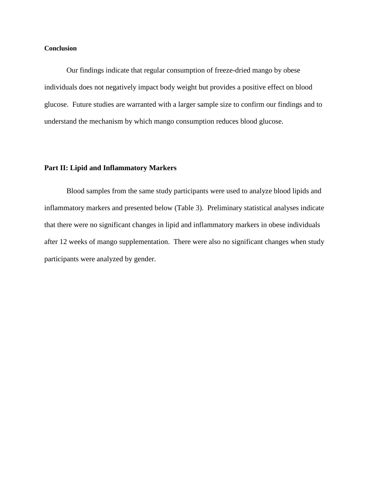#### **Conclusion**

Our findings indicate that regular consumption of freeze-dried mango by obese individuals does not negatively impact body weight but provides a positive effect on blood glucose. Future studies are warranted with a larger sample size to confirm our findings and to understand the mechanism by which mango consumption reduces blood glucose.

## **Part II: Lipid and Inflammatory Markers**

Blood samples from the same study participants were used to analyze blood lipids and inflammatory markers and presented below (Table 3). Preliminary statistical analyses indicate that there were no significant changes in lipid and inflammatory markers in obese individuals after 12 weeks of mango supplementation. There were also no significant changes when study participants were analyzed by gender.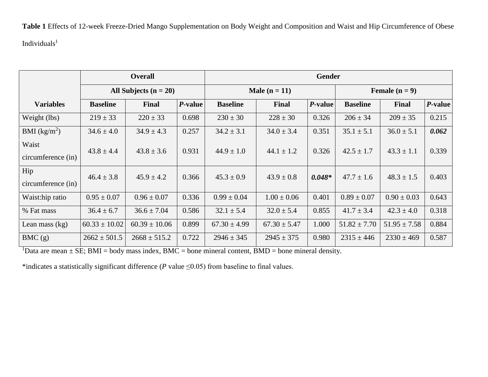**Table 1** Effects of 12-week Freeze-Dried Mango Supplementation on Body Weight and Composition and Waist and Hip Circumference of Obese  $\mathbf{Individuals}^{1}$ 

|                             | <b>Overall</b>          |                   |         | Gender           |                  |          |                  |                  |                 |  |
|-----------------------------|-------------------------|-------------------|---------|------------------|------------------|----------|------------------|------------------|-----------------|--|
|                             | All Subjects $(n = 20)$ |                   |         | Male $(n = 11)$  |                  |          | Female $(n = 9)$ |                  |                 |  |
| <b>Variables</b>            | <b>Baseline</b>         | Final             | P-value | <b>Baseline</b>  | Final            | P-value  | <b>Baseline</b>  | <b>Final</b>     | <i>P</i> -value |  |
| Weight (lbs)                | $219 \pm 33$            | $220 \pm 33$      | 0.698   | $230 \pm 30$     | $228 \pm 30$     | 0.326    | $206 \pm 34$     | $209 \pm 35$     | 0.215           |  |
| BMI $(kg/m2)$               | $34.6 \pm 4.0$          | $34.9 \pm 4.3$    | 0.257   | $34.2 \pm 3.1$   | $34.0 \pm 3.4$   | 0.351    | $35.1 \pm 5.1$   | $36.0 \pm 5.1$   | 0.062           |  |
| Waist<br>circumference (in) | $43.8 \pm 4.4$          | $43.8 \pm 3.6$    | 0.931   | $44.9 \pm 1.0$   | $44.1 \pm 1.2$   | 0.326    | $42.5 \pm 1.7$   | $43.3 \pm 1.1$   | 0.339           |  |
| Hip<br>circumference (in)   | $46.4 \pm 3.8$          | $45.9 \pm 4.2$    | 0.366   | $45.3 \pm 0.9$   | $43.9 \pm 0.8$   | $0.048*$ | $47.7 \pm 1.6$   | $48.3 \pm 1.5$   | 0.403           |  |
| Waist:hip ratio             | $0.95 \pm 0.07$         | $0.96 \pm 0.07$   | 0.336   | $0.99 \pm 0.04$  | $1.00 \pm 0.06$  | 0.401    | $0.89 \pm 0.07$  | $0.90 \pm 0.03$  | 0.643           |  |
| % Fat mass                  | $36.4 \pm 6.7$          | $36.6 \pm 7.04$   | 0.586   | $32.1 \pm 5.4$   | $32.0 \pm 5.4$   | 0.855    | $41.7 \pm 3.4$   | $42.3 \pm 4.0$   | 0.318           |  |
| Lean mass $(kg)$            | $60.33 \pm 10.02$       | $60.39 \pm 10.06$ | 0.899   | $67.30 \pm 4.99$ | $67.30 \pm 5.47$ | 1.000    | $51.82 \pm 7.70$ | $51.95 \pm 7.58$ | 0.884           |  |
| BMC(g)                      | $2662 \pm 501.5$        | $2668 \pm 515.2$  | 0.722   | $2946 \pm 345$   | $2945 \pm 375$   | 0.980    | $2315 \pm 446$   | $2330 \pm 469$   | 0.587           |  |

<sup>1</sup>Data are mean  $\pm$  SE; BMI = body mass index, BMC = bone mineral content, BMD = bone mineral density.

\*indicates a statistically significant difference (*P* value ≤0.05) from baseline to final values.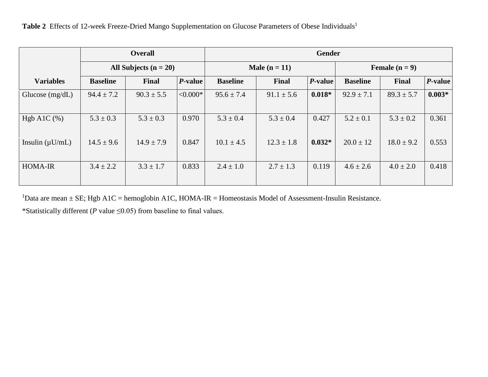|                      | <b>Overall</b><br>All Subjects $(n = 20)$ |                |            | Gender          |                |            |                  |                |          |  |
|----------------------|-------------------------------------------|----------------|------------|-----------------|----------------|------------|------------------|----------------|----------|--|
|                      |                                           |                |            | Male $(n = 11)$ |                |            | Female $(n = 9)$ |                |          |  |
| <b>Variables</b>     | <b>Baseline</b>                           | Final          | P-value    | <b>Baseline</b> | Final          | $P$ -value | <b>Baseline</b>  | Final          | P-value  |  |
| Glucose $(mg/dL)$    | $94.4 \pm 7.2$                            | $90.3 \pm 5.5$ | $< 0.000*$ | $95.6 \pm 7.4$  | $91.1 \pm 5.6$ | $0.018*$   | $92.9 \pm 7.1$   | $89.3 \pm 5.7$ | $0.003*$ |  |
| Hgb A1C $(\%)$       | $5.3 \pm 0.3$                             | $5.3 \pm 0.3$  | 0.970      | $5.3 \pm 0.4$   | $5.3 \pm 0.4$  | 0.427      | $5.2 \pm 0.1$    | $5.3 \pm 0.2$  | 0.361    |  |
| Insulin $(\mu U/mL)$ | $14.5 \pm 9.6$                            | $14.9 \pm 7.9$ | 0.847      | $10.1 \pm 4.5$  | $12.3 \pm 1.8$ | $0.032*$   | $20.0 \pm 12$    | $18.0 \pm 9.2$ | 0.553    |  |
| <b>HOMA-IR</b>       | $3.4 \pm 2.2$                             | $3.3 \pm 1.7$  | 0.833      | $2.4 \pm 1.0$   | $2.7 \pm 1.3$  | 0.119      | $4.6 \pm 2.6$    | $4.0 \pm 2.0$  | 0.418    |  |

Table 2 Effects of 12-week Freeze-Dried Mango Supplementation on Glucose Parameters of Obese Individuals<sup>1</sup>

<sup>1</sup>Data are mean  $\pm$  SE; Hgb A1C = hemoglobin A1C, HOMA-IR = Homeostasis Model of Assessment-Insulin Resistance.

\*Statistically different (*P* value ≤0.05) from baseline to final values.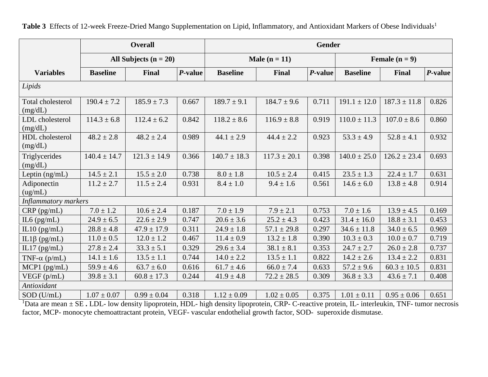Table 3 Effects of 12-week Freeze-Dried Mango Supplementation on Lipid, Inflammatory, and Antioxidant Markers of Obese Individuals<sup>1</sup>

|                                     | <b>Overall</b>          |                                                  |                       | Gender           |                                            |         |                      |                  |         |  |
|-------------------------------------|-------------------------|--------------------------------------------------|-----------------------|------------------|--------------------------------------------|---------|----------------------|------------------|---------|--|
|                                     | All Subjects $(n = 20)$ |                                                  |                       | Male $(n = 11)$  |                                            |         | Female $(n = 9)$     |                  |         |  |
| <b>Variables</b>                    | <b>Baseline</b>         | Final                                            | P-value               | <b>Baseline</b>  | Final                                      | P-value | <b>Baseline</b>      | <b>Final</b>     | P-value |  |
| Lipids                              |                         |                                                  |                       |                  |                                            |         |                      |                  |         |  |
| <b>Total cholesterol</b><br>(mg/dL) | $190.4 \pm 7.2$         | $185.9 \pm 7.3$                                  | 0.667                 | $189.7 \pm 9.1$  | $184.7 \pm 9.6$                            | 0.711   | $191.1 \pm 12.0$     | $187.3 \pm 11.8$ | 0.826   |  |
| LDL cholesterol<br>(mg/dL)          | $114.3 \pm 6.8$         | $112.4 \pm 6.2$                                  | 0.842                 | $118.2 \pm 8.6$  | $116.9 \pm 8.8$                            | 0.919   | $110.0 \pm 11.3$     | $107.0 \pm 8.6$  | 0.860   |  |
| HDL cholesterol<br>(mg/dL)          | $48.2 \pm 2.8$          | $48.2 \pm 2.4$                                   | 0.989                 | $44.1 \pm 2.9$   | $44.4 \pm 2.2$                             | 0.923   | $53.3 \pm 4.9$       | $52.8 \pm 4.1$   | 0.932   |  |
| Triglycerides<br>(mg/dL)            | $140.4 \pm 14.7$        | $121.3 \pm 14.9$                                 | 0.366                 | $140.7 \pm 18.3$ | $117.3 \pm 20.1$                           | 0.398   | $140.0 \pm 25.0$     | $126.2 \pm 23.4$ | 0.693   |  |
| Leptin (ng/mL)                      | $14.5 \pm 2.1$          | $15.5 \pm 2.0$                                   | 0.738                 | $8.0 \pm 1.8$    | $10.5 \pm 2.4$                             | 0.415   | $23.5 \pm 1.3$       | $22.4 \pm 1.7$   | 0.631   |  |
| Adiponectin<br>(ug/mL)              | $11.2 \pm 2.7$          | $11.5 \pm 2.4$                                   | 0.931                 | $8.4 \pm 1.0$    | $9.4 \pm 1.6$                              | 0.561   | $14.6 \pm 6.0$       | $13.8 \pm 4.8$   | 0.914   |  |
| <b>Inflammatory markers</b>         |                         |                                                  |                       |                  |                                            |         |                      |                  |         |  |
| $CRP$ (pg/mL)                       | $7.0 \pm 1.2$           | $10.6 \pm 2.4$                                   | 0.187                 | $7.0 \pm 1.9$    | $7.9 \pm 2.1$                              | 0.753   | $7.0 \pm 1.6$        | $13.9 \pm 4.5$   | 0.169   |  |
| IL6 $(pg/mL)$                       | $24.9 \pm 6.5$          | $22.6 \pm 2.9$                                   | 0.747                 | $20.6 \pm 3.6$   | $25.2 \pm 4.3$                             | 0.423   | $31.4 \pm 16.0$      | $18.8 \pm 3.1$   | 0.453   |  |
| IL10 $(pg/mL)$                      | $28.8 \pm 4.8$          | $47.9 \pm 17.9$                                  | 0.311                 | $24.9 \pm 1.8$   | $57.1 \pm 29.8$                            | 0.297   | $34.6 \pm 11.8$      | $34.0 \pm 6.5$   | 0.969   |  |
| IL1 $\beta$ (pg/mL)                 | $11.0 \pm 0.5$          | $12.0 \pm 1.2$                                   | 0.467                 | $11.4 \pm 0.9$   | $13.2 \pm 1.8$                             | 0.390   | $10.3 \pm 0.3$       | $10.0 \pm 0.7$   | 0.719   |  |
| IL17 $(pg/mL)$                      | $27.8 \pm 2.4$          | $33.3 \pm 5.1$                                   | 0.329                 | $29.6 \pm 3.4$   | $38.1 \pm 8.1$                             | 0.353   | $24.7 \pm 2.7$       | $26.0 \pm 2.8$   | 0.737   |  |
| TNF- $\alpha$ (p/mL)                | $14.1 \pm 1.6$          | $13.5 \pm 1.1$                                   | 0.744                 | $14.0 \pm 2.2$   | $13.5 \pm 1.1$                             | 0.822   | $14.2 \pm 2.6$       | $13.4 \pm 2.2$   | 0.831   |  |
| $MCP1$ (pg/mL)                      | $59.9 \pm 4.6$          | $63.7 \pm 6.0$                                   | 0.616                 | $61.7 \pm 4.6$   | $66.0 \pm 7.4$                             | 0.633   | $57.2 \pm 9.6$       | $60.3 \pm 10.5$  | 0.831   |  |
| VEGF (p/mL)                         | $39.8 \pm 3.1$          | $60.8 \pm 17.3$                                  | 0.244                 | $41.9 \pm 4.8$   | $72.2 \pm 28.5$                            | 0.309   | $36.8 \pm 3.3$       | $43.6 \pm 7.1$   | 0.408   |  |
| Antioxidant                         |                         |                                                  |                       |                  |                                            |         |                      |                  |         |  |
| $SOD$ (U/mL)                        | $1.07 \pm 0.07$<br>CDI  | $0.99 \pm 0.04$<br>$\mathbf{A}$ and $\mathbf{A}$ | 0.318<br>T T T T 1111 | $1.12 \pm 0.09$  | $1.02 \pm 0.05$<br>$\sim$ $\sim$<br>$\sim$ | 0.375   | $1.01 \pm 0.11$<br>T | $0.95 \pm 0.06$  | 0.651   |  |

<sup>1</sup>Data are mean ± SE. LDL- low density lipoprotein, HDL- high density lipoprotein, CRP- C-reactive protein, IL- interleukin, TNF- tumor necrosis factor, MCP- monocyte chemoattractant protein, VEGF- vascular endothelial growth factor, SOD- superoxide dismutase.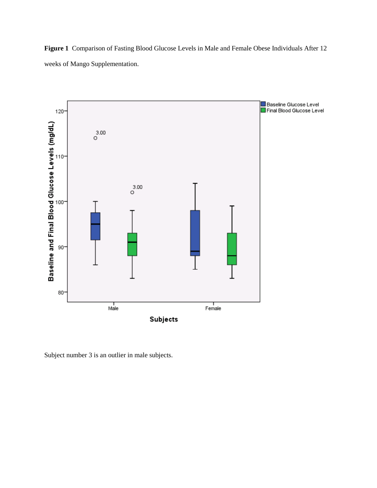**Figure 1** Comparison of Fasting Blood Glucose Levels in Male and Female Obese Individuals After 12 weeks of Mango Supplementation.



Subject number 3 is an outlier in male subjects.